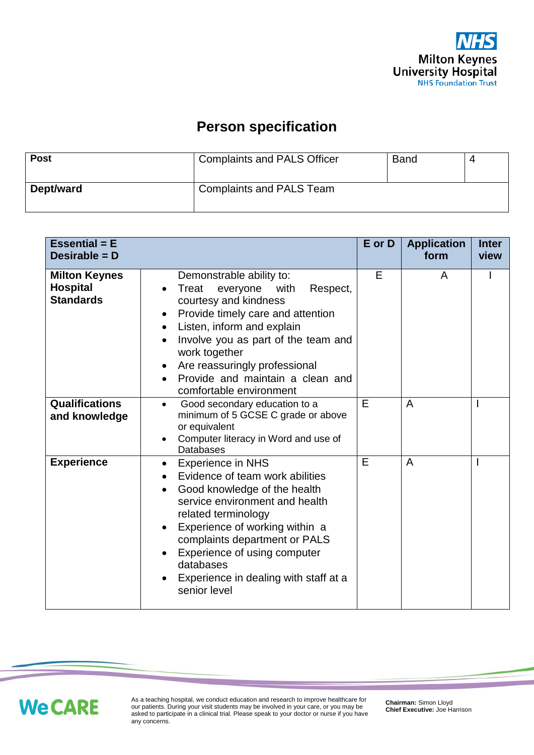

## **Person specification**

| <b>Post</b> | <b>Complaints and PALS Officer</b> | <b>Band</b> |  |
|-------------|------------------------------------|-------------|--|
| Dept/ward   | <b>Complaints and PALS Team</b>    |             |  |

| <b>Essential = E</b><br>Desirable = $D$                     |                                                                                                                                                                                                                                                                                                                                                                                                | E or D | <b>Application</b><br>form | <b>Inter</b><br>view |
|-------------------------------------------------------------|------------------------------------------------------------------------------------------------------------------------------------------------------------------------------------------------------------------------------------------------------------------------------------------------------------------------------------------------------------------------------------------------|--------|----------------------------|----------------------|
| <b>Milton Keynes</b><br><b>Hospital</b><br><b>Standards</b> | Demonstrable ability to:<br>everyone with<br>Respect,<br>Treat<br>courtesy and kindness<br>Provide timely care and attention<br>٠<br>Listen, inform and explain<br>Involve you as part of the team and<br>work together<br>Are reassuringly professional<br>$\bullet$<br>Provide and maintain a clean and<br>comfortable environment                                                           | E      | A                          |                      |
| <b>Qualifications</b><br>and knowledge                      | Good secondary education to a<br>$\bullet$<br>minimum of 5 GCSE C grade or above<br>or equivalent<br>Computer literacy in Word and use of<br><b>Databases</b>                                                                                                                                                                                                                                  | E      | A                          |                      |
| <b>Experience</b>                                           | <b>Experience in NHS</b><br>$\bullet$<br>Evidence of team work abilities<br>$\bullet$<br>Good knowledge of the health<br>service environment and health<br>related terminology<br>Experience of working within a<br>$\bullet$<br>complaints department or PALS<br>Experience of using computer<br>$\bullet$<br>databases<br>Experience in dealing with staff at a<br>$\bullet$<br>senior level | E      | A                          |                      |



As a teaching hospital, we conduct education and research to improve healthcare for our patients. During your visit students may be involved in your care, or you may be asked to participate in a clinical trial. Please speak to your doctor or nurse if you have any concerns.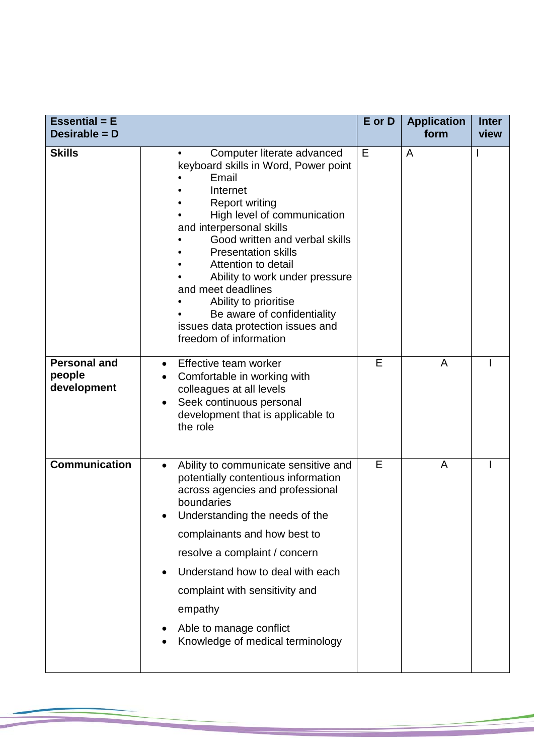| <b>Essential = E</b><br>Desirable = D        |                                                                                                                                                                                                                                                                                                                                                                                                                                                   | E or D | <b>Application</b><br>form | <b>Inter</b><br>view |
|----------------------------------------------|---------------------------------------------------------------------------------------------------------------------------------------------------------------------------------------------------------------------------------------------------------------------------------------------------------------------------------------------------------------------------------------------------------------------------------------------------|--------|----------------------------|----------------------|
| <b>Skills</b>                                | Computer literate advanced<br>keyboard skills in Word, Power point<br>Email<br>Internet<br><b>Report writing</b><br>High level of communication<br>and interpersonal skills<br>Good written and verbal skills<br><b>Presentation skills</b><br>Attention to detail<br>Ability to work under pressure<br>and meet deadlines<br>Ability to prioritise<br>Be aware of confidentiality<br>issues data protection issues and<br>freedom of information | Е      | A                          |                      |
| <b>Personal and</b><br>people<br>development | Effective team worker<br>$\bullet$<br>Comfortable in working with<br>colleagues at all levels<br>Seek continuous personal<br>$\bullet$<br>development that is applicable to<br>the role                                                                                                                                                                                                                                                           | E      | A                          |                      |
| <b>Communication</b>                         | Ability to communicate sensitive and<br>$\bullet$<br>potentially contentious information<br>across agencies and professional<br>boundaries<br>Understanding the needs of the<br>complainants and how best to<br>resolve a complaint / concern<br>Understand how to deal with each<br>$\bullet$<br>complaint with sensitivity and<br>empathy<br>Able to manage conflict<br>Knowledge of medical terminology                                        | E      | A                          |                      |

 $\equiv$